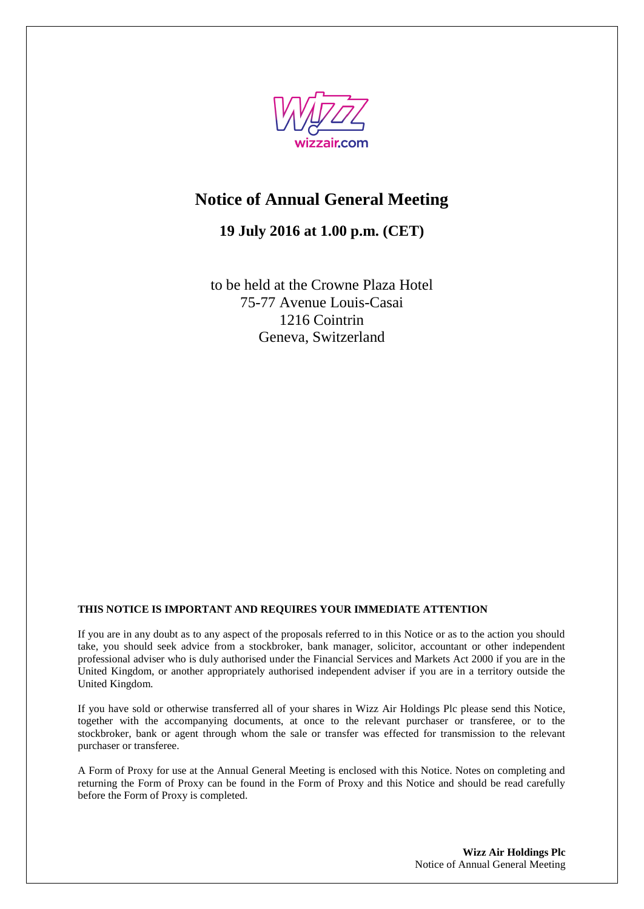

# **Notice of Annual General Meeting**

**19 July 2016 at 1.00 p.m. (CET)**

to be held at the Crowne Plaza Hotel 75-77 Avenue Louis-Casai 1216 Cointrin Geneva, Switzerland

## **THIS NOTICE IS IMPORTANT AND REQUIRES YOUR IMMEDIATE ATTENTION**

If you are in any doubt as to any aspect of the proposals referred to in this Notice or as to the action you should take, you should seek advice from a stockbroker, bank manager, solicitor, accountant or other independent professional adviser who is duly authorised under the Financial Services and Markets Act 2000 if you are in the United Kingdom, or another appropriately authorised independent adviser if you are in a territory outside the United Kingdom.

If you have sold or otherwise transferred all of your shares in Wizz Air Holdings Plc please send this Notice, together with the accompanying documents, at once to the relevant purchaser or transferee, or to the stockbroker, bank or agent through whom the sale or transfer was effected for transmission to the relevant purchaser or transferee.

A Form of Proxy for use at the Annual General Meeting is enclosed with this Notice. Notes on completing and returning the Form of Proxy can be found in the Form of Proxy and this Notice and should be read carefully before the Form of Proxy is completed.

> **Wizz Air Holdings Plc** Notice of Annual General Meeting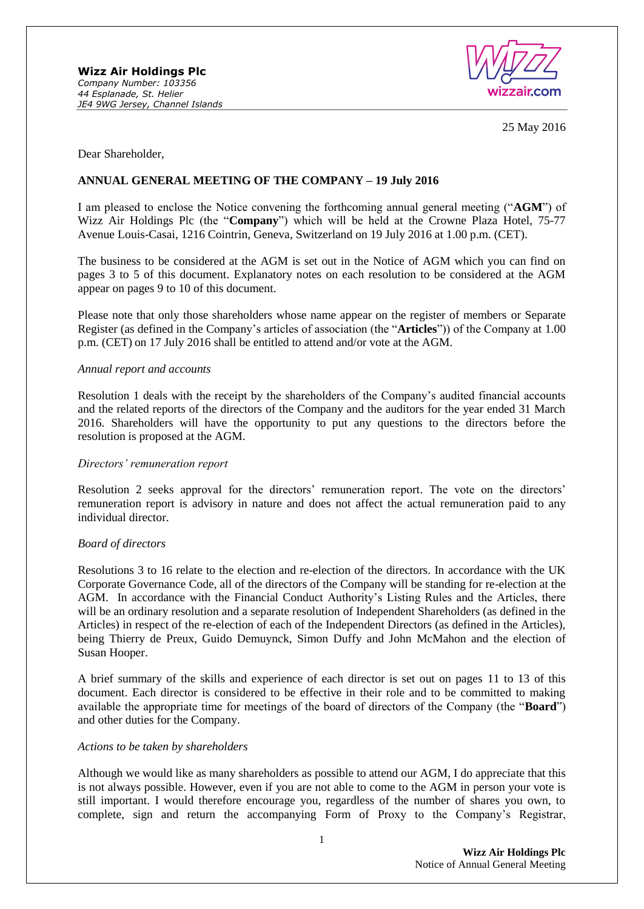

25 May 2016

Dear Shareholder,

## **ANNUAL GENERAL MEETING OF THE COMPANY – 19 July 2016**

I am pleased to enclose the Notice convening the forthcoming annual general meeting ("**AGM**") of Wizz Air Holdings Plc (the "**Company**") which will be held at the Crowne Plaza Hotel, 75-77 Avenue Louis-Casai, 1216 Cointrin, Geneva, Switzerland on 19 July 2016 at 1.00 p.m. (CET).

The business to be considered at the AGM is set out in the Notice of AGM which you can find on pages 3 to 5 of this document. Explanatory notes on each resolution to be considered at the AGM appear on pages 9 to 10 of this document.

Please note that only those shareholders whose name appear on the register of members or Separate Register (as defined in the Company's articles of association (the "**Articles**")) of the Company at 1.00 p.m. (CET) on 17 July 2016 shall be entitled to attend and/or vote at the AGM.

## *Annual report and accounts*

Resolution 1 deals with the receipt by the shareholders of the Company's audited financial accounts and the related reports of the directors of the Company and the auditors for the year ended 31 March 2016. Shareholders will have the opportunity to put any questions to the directors before the resolution is proposed at the AGM.

## *Directors' remuneration report*

Resolution 2 seeks approval for the directors' remuneration report. The vote on the directors' remuneration report is advisory in nature and does not affect the actual remuneration paid to any individual director.

## *Board of directors*

Resolutions 3 to 16 relate to the election and re-election of the directors. In accordance with the UK Corporate Governance Code, all of the directors of the Company will be standing for re-election at the AGM. In accordance with the Financial Conduct Authority's Listing Rules and the Articles, there will be an ordinary resolution and a separate resolution of Independent Shareholders (as defined in the Articles) in respect of the re-election of each of the Independent Directors (as defined in the Articles), being Thierry de Preux, Guido Demuynck, Simon Duffy and John McMahon and the election of Susan Hooper.

A brief summary of the skills and experience of each director is set out on pages 11 to 13 of this document. Each director is considered to be effective in their role and to be committed to making available the appropriate time for meetings of the board of directors of the Company (the "**Board**") and other duties for the Company.

## *Actions to be taken by shareholders*

Although we would like as many shareholders as possible to attend our AGM, I do appreciate that this is not always possible. However, even if you are not able to come to the AGM in person your vote is still important. I would therefore encourage you, regardless of the number of shares you own, to complete, sign and return the accompanying Form of Proxy to the Company's Registrar,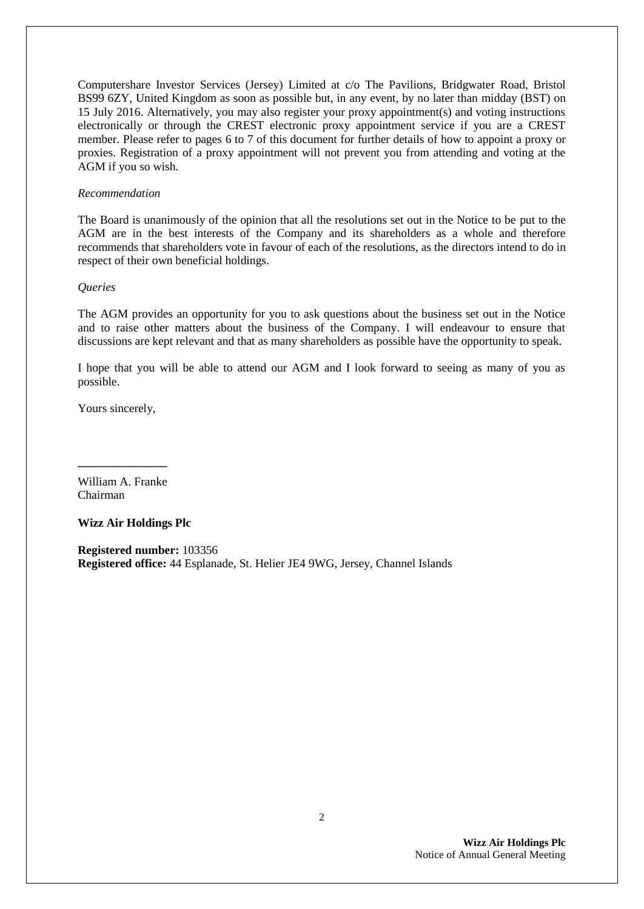Computershare Investor Services (Jersey) Limited at c/o The Pavilions, Bridgwater Road, Bristol BS99 6ZY, United Kingdom as soon as possible but, in any event, by no later than midday (BST) on 15 July 2016. Alternatively, you may also register your proxy appointment(s) and voting instructions electronically or through the CREST electronic proxy appointment service if you are a CREST member. Please refer to pages 6 to 7 of this document for further details of how to appoint a proxy or proxies. Registration of a proxy appointment will not prevent you from attending and voting at the AGM if you so wish.

#### *Recommendation*

The Board is unanimously of the opinion that all the resolutions set out in the Notice to be put to the AGM are in the best interests of the Company and its shareholders as a whole and therefore recommends that shareholders vote in favour of each of the resolutions, as the directors intend to do in respect of their own beneficial holdings.

#### *Queries*

The AGM provides an opportunity for you to ask questions about the business set out in the Notice and to raise other matters about the business of the Company. I will endeavour to ensure that discussions are kept relevant and that as many shareholders as possible have the opportunity to speak.

I hope that you will be able to attend our AGM and I look forward to seeing as many of you as possible.

Yours sincerely,

William A. Franke Chairman

**\_\_\_\_\_\_\_\_\_\_\_\_\_\_\_**

## **Wizz Air Holdings Plc**

**Registered number:** 103356 **Registered office:** 44 Esplanade, St. Helier JE4 9WG, Jersey, Channel Islands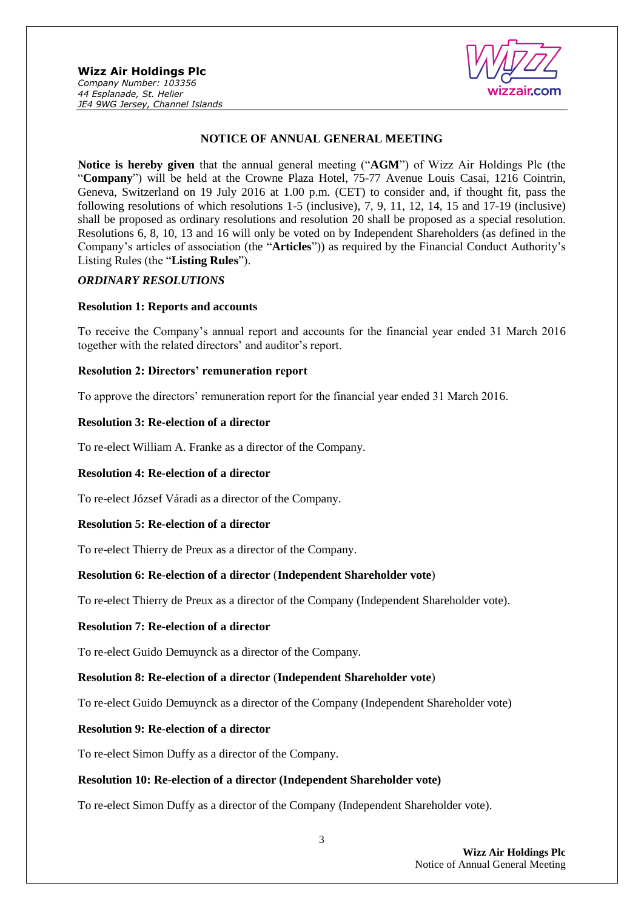

## **NOTICE OF ANNUAL GENERAL MEETING**

**Notice is hereby given** that the annual general meeting ("**AGM**") of Wizz Air Holdings Plc (the "**Company**") will be held at the Crowne Plaza Hotel, 75-77 Avenue Louis Casai, 1216 Cointrin, Geneva, Switzerland on 19 July 2016 at 1.00 p.m. (CET) to consider and, if thought fit, pass the following resolutions of which resolutions 1-5 (inclusive), 7, 9, 11, 12, 14, 15 and 17-19 (inclusive) shall be proposed as ordinary resolutions and resolution 20 shall be proposed as a special resolution. Resolutions 6, 8, 10, 13 and 16 will only be voted on by Independent Shareholders (as defined in the Company's articles of association (the "**Articles**")) as required by the Financial Conduct Authority's Listing Rules (the "**Listing Rules**").

## *ORDINARY RESOLUTIONS*

## **Resolution 1: Reports and accounts**

To receive the Company's annual report and accounts for the financial year ended 31 March 2016 together with the related directors' and auditor's report.

## **Resolution 2: Directors' remuneration report**

To approve the directors' remuneration report for the financial year ended 31 March 2016.

## **Resolution 3: Re-election of a director**

To re-elect William A. Franke as a director of the Company.

## **Resolution 4: Re-election of a director**

To re-elect József Váradi as a director of the Company.

## **Resolution 5: Re-election of a director**

To re-elect Thierry de Preux as a director of the Company.

## **Resolution 6: Re-election of a director** (**Independent Shareholder vote**)

To re-elect Thierry de Preux as a director of the Company (Independent Shareholder vote).

## **Resolution 7: Re-election of a director**

To re-elect Guido Demuynck as a director of the Company.

## **Resolution 8: Re-election of a director** (**Independent Shareholder vote**)

To re-elect Guido Demuynck as a director of the Company (Independent Shareholder vote)

## **Resolution 9: Re-election of a director**

To re-elect Simon Duffy as a director of the Company.

## **Resolution 10: Re-election of a director (Independent Shareholder vote)**

To re-elect Simon Duffy as a director of the Company (Independent Shareholder vote).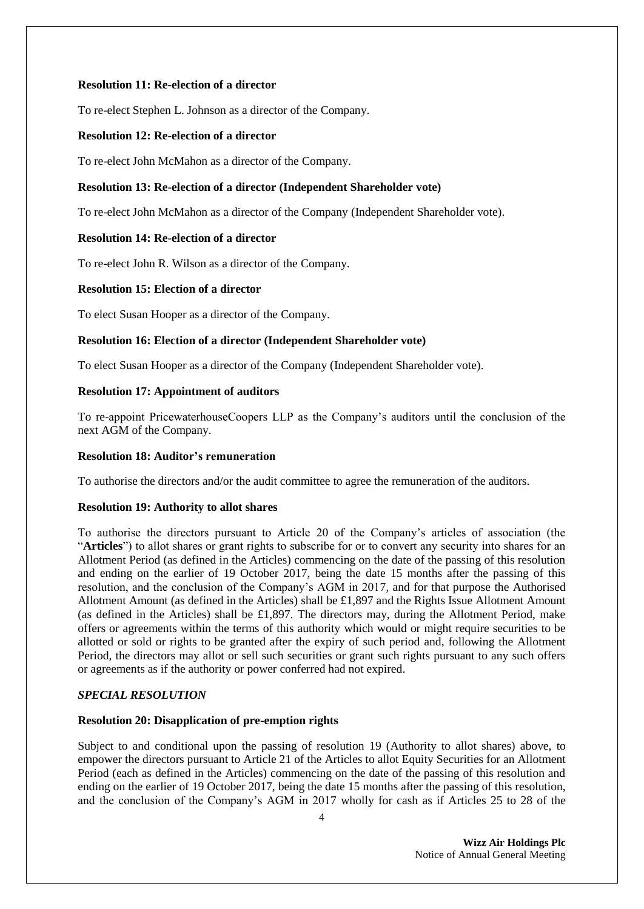## **Resolution 11: Re-election of a director**

To re-elect Stephen L. Johnson as a director of the Company.

## **Resolution 12: Re-election of a director**

To re-elect John McMahon as a director of the Company.

## **Resolution 13: Re-election of a director (Independent Shareholder vote)**

To re-elect John McMahon as a director of the Company (Independent Shareholder vote).

## **Resolution 14: Re-election of a director**

To re-elect John R. Wilson as a director of the Company.

## **Resolution 15: Election of a director**

To elect Susan Hooper as a director of the Company.

## **Resolution 16: Election of a director (Independent Shareholder vote)**

To elect Susan Hooper as a director of the Company (Independent Shareholder vote).

## **Resolution 17: Appointment of auditors**

To re-appoint PricewaterhouseCoopers LLP as the Company's auditors until the conclusion of the next AGM of the Company.

## **Resolution 18: Auditor's remuneration**

To authorise the directors and/or the audit committee to agree the remuneration of the auditors.

## **Resolution 19: Authority to allot shares**

To authorise the directors pursuant to Article 20 of the Company's articles of association (the "Articles") to allot shares or grant rights to subscribe for or to convert any security into shares for an Allotment Period (as defined in the Articles) commencing on the date of the passing of this resolution and ending on the earlier of 19 October 2017, being the date 15 months after the passing of this resolution, and the conclusion of the Company's AGM in 2017, and for that purpose the Authorised Allotment Amount (as defined in the Articles) shall be £1,897 and the Rights Issue Allotment Amount (as defined in the Articles) shall be £1,897. The directors may, during the Allotment Period, make offers or agreements within the terms of this authority which would or might require securities to be allotted or sold or rights to be granted after the expiry of such period and, following the Allotment Period, the directors may allot or sell such securities or grant such rights pursuant to any such offers or agreements as if the authority or power conferred had not expired.

## *SPECIAL RESOLUTION*

## **Resolution 20: Disapplication of pre-emption rights**

Subject to and conditional upon the passing of resolution 19 (Authority to allot shares) above, to empower the directors pursuant to Article 21 of the Articles to allot Equity Securities for an Allotment Period (each as defined in the Articles) commencing on the date of the passing of this resolution and ending on the earlier of 19 October 2017, being the date 15 months after the passing of this resolution, and the conclusion of the Company's AGM in 2017 wholly for cash as if Articles 25 to 28 of the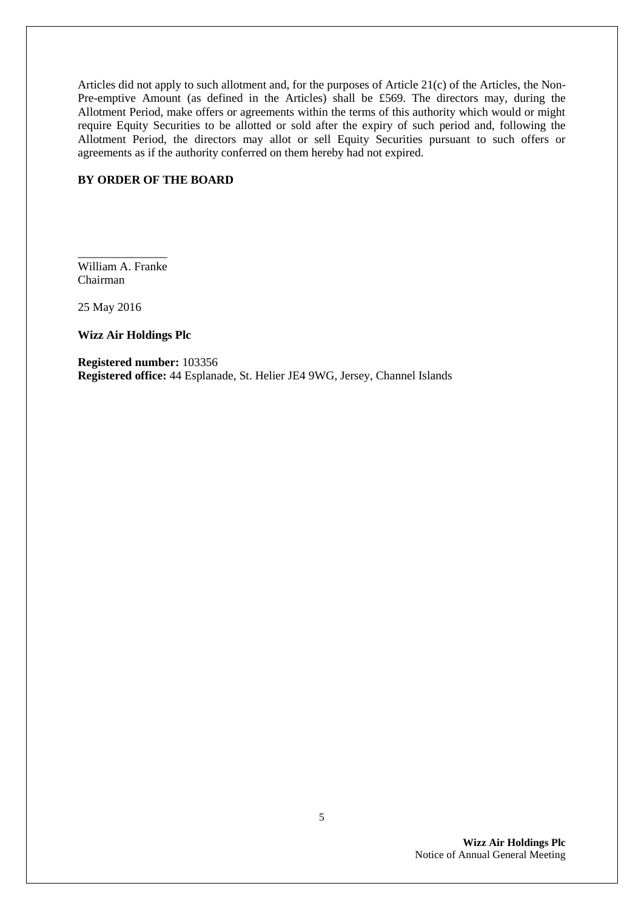Articles did not apply to such allotment and, for the purposes of Article 21(c) of the Articles, the Non-Pre-emptive Amount (as defined in the Articles) shall be £569. The directors may, during the Allotment Period, make offers or agreements within the terms of this authority which would or might require Equity Securities to be allotted or sold after the expiry of such period and, following the Allotment Period, the directors may allot or sell Equity Securities pursuant to such offers or agreements as if the authority conferred on them hereby had not expired.

#### **BY ORDER OF THE BOARD**

\_\_\_\_\_\_\_\_\_\_\_\_\_\_\_ William A. Franke Chairman

25 May 2016

**Wizz Air Holdings Plc**

**Registered number:** 103356 **Registered office:** 44 Esplanade, St. Helier JE4 9WG, Jersey, Channel Islands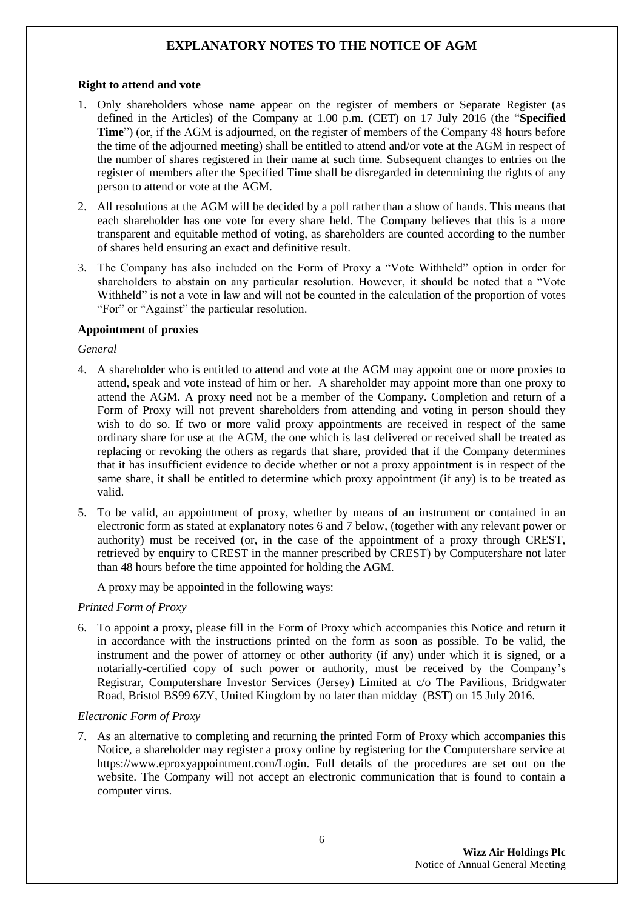## **EXPLANATORY NOTES TO THE NOTICE OF AGM**

## **Right to attend and vote**

- 1. Only shareholders whose name appear on the register of members or Separate Register (as defined in the Articles) of the Company at 1.00 p.m. (CET) on 17 July 2016 (the "**Specified Time**") (or, if the AGM is adjourned, on the register of members of the Company 48 hours before the time of the adjourned meeting) shall be entitled to attend and/or vote at the AGM in respect of the number of shares registered in their name at such time. Subsequent changes to entries on the register of members after the Specified Time shall be disregarded in determining the rights of any person to attend or vote at the AGM.
- 2. All resolutions at the AGM will be decided by a poll rather than a show of hands. This means that each shareholder has one vote for every share held. The Company believes that this is a more transparent and equitable method of voting, as shareholders are counted according to the number of shares held ensuring an exact and definitive result.
- 3. The Company has also included on the Form of Proxy a "Vote Withheld" option in order for shareholders to abstain on any particular resolution. However, it should be noted that a "Vote Withheld" is not a vote in law and will not be counted in the calculation of the proportion of votes "For" or "Against" the particular resolution.

## **Appointment of proxies**

## *General*

- 4. A shareholder who is entitled to attend and vote at the AGM may appoint one or more proxies to attend, speak and vote instead of him or her. A shareholder may appoint more than one proxy to attend the AGM. A proxy need not be a member of the Company. Completion and return of a Form of Proxy will not prevent shareholders from attending and voting in person should they wish to do so. If two or more valid proxy appointments are received in respect of the same ordinary share for use at the AGM, the one which is last delivered or received shall be treated as replacing or revoking the others as regards that share, provided that if the Company determines that it has insufficient evidence to decide whether or not a proxy appointment is in respect of the same share, it shall be entitled to determine which proxy appointment (if any) is to be treated as valid.
- 5. To be valid, an appointment of proxy, whether by means of an instrument or contained in an electronic form as stated at explanatory notes 6 and 7 below, (together with any relevant power or authority) must be received (or, in the case of the appointment of a proxy through CREST, retrieved by enquiry to CREST in the manner prescribed by CREST) by Computershare not later than 48 hours before the time appointed for holding the AGM.

A proxy may be appointed in the following ways:

## *Printed Form of Proxy*

6. To appoint a proxy, please fill in the Form of Proxy which accompanies this Notice and return it in accordance with the instructions printed on the form as soon as possible. To be valid, the instrument and the power of attorney or other authority (if any) under which it is signed, or a notarially-certified copy of such power or authority, must be received by the Company's Registrar, Computershare Investor Services (Jersey) Limited at c/o The Pavilions, Bridgwater Road, Bristol BS99 6ZY, United Kingdom by no later than midday (BST) on 15 July 2016.

## *Electronic Form of Proxy*

7. As an alternative to completing and returning the printed Form of Proxy which accompanies this Notice, a shareholder may register a proxy online by registering for the Computershare service at [https://www.eproxyappointment.com/Login.](https://www.eproxyappointment.com/LOGIN) Full details of the procedures are set out on the website. The Company will not accept an electronic communication that is found to contain a computer virus.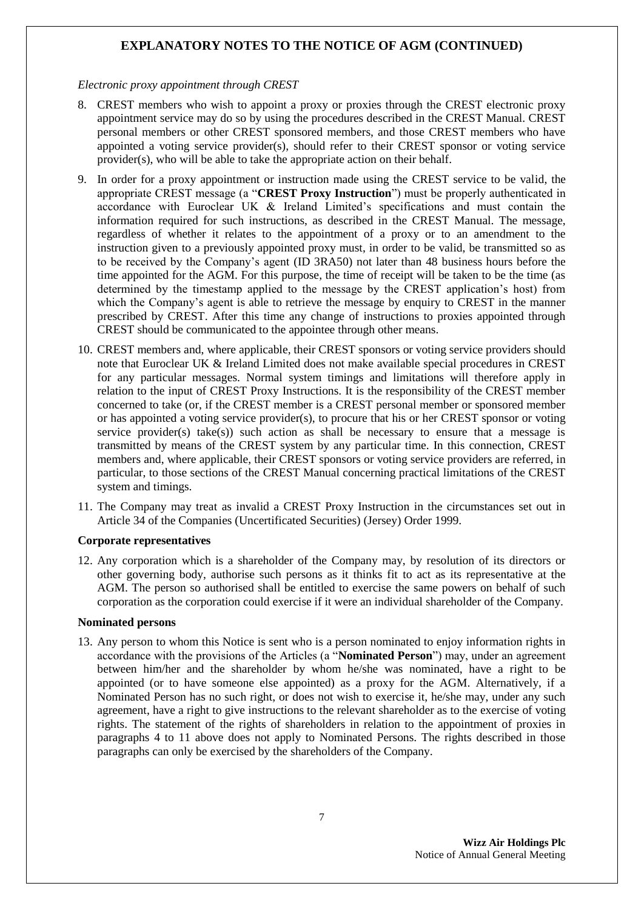## **EXPLANATORY NOTES TO THE NOTICE OF AGM (CONTINUED)**

*Electronic proxy appointment through CREST*

- 8. CREST members who wish to appoint a proxy or proxies through the CREST electronic proxy appointment service may do so by using the procedures described in the CREST Manual. CREST personal members or other CREST sponsored members, and those CREST members who have appointed a voting service provider(s), should refer to their CREST sponsor or voting service provider(s), who will be able to take the appropriate action on their behalf.
- 9. In order for a proxy appointment or instruction made using the CREST service to be valid, the appropriate CREST message (a "**CREST Proxy Instruction**") must be properly authenticated in accordance with Euroclear UK & Ireland Limited's specifications and must contain the information required for such instructions, as described in the CREST Manual. The message, regardless of whether it relates to the appointment of a proxy or to an amendment to the instruction given to a previously appointed proxy must, in order to be valid, be transmitted so as to be received by the Company's agent (ID 3RA50) not later than 48 business hours before the time appointed for the AGM. For this purpose, the time of receipt will be taken to be the time (as determined by the timestamp applied to the message by the CREST application's host) from which the Company's agent is able to retrieve the message by enquiry to CREST in the manner prescribed by CREST. After this time any change of instructions to proxies appointed through CREST should be communicated to the appointee through other means.
- 10. CREST members and, where applicable, their CREST sponsors or voting service providers should note that Euroclear UK & Ireland Limited does not make available special procedures in CREST for any particular messages. Normal system timings and limitations will therefore apply in relation to the input of CREST Proxy Instructions. It is the responsibility of the CREST member concerned to take (or, if the CREST member is a CREST personal member or sponsored member or has appointed a voting service provider(s), to procure that his or her CREST sponsor or voting service provider(s) take(s)) such action as shall be necessary to ensure that a message is transmitted by means of the CREST system by any particular time. In this connection, CREST members and, where applicable, their CREST sponsors or voting service providers are referred, in particular, to those sections of the CREST Manual concerning practical limitations of the CREST system and timings.
- 11. The Company may treat as invalid a CREST Proxy Instruction in the circumstances set out in Article 34 of the Companies (Uncertificated Securities) (Jersey) Order 1999.

## **Corporate representatives**

12. Any corporation which is a shareholder of the Company may, by resolution of its directors or other governing body, authorise such persons as it thinks fit to act as its representative at the AGM. The person so authorised shall be entitled to exercise the same powers on behalf of such corporation as the corporation could exercise if it were an individual shareholder of the Company.

## **Nominated persons**

13. Any person to whom this Notice is sent who is a person nominated to enjoy information rights in accordance with the provisions of the Articles (a "**Nominated Person**") may, under an agreement between him/her and the shareholder by whom he/she was nominated, have a right to be appointed (or to have someone else appointed) as a proxy for the AGM. Alternatively, if a Nominated Person has no such right, or does not wish to exercise it, he/she may, under any such agreement, have a right to give instructions to the relevant shareholder as to the exercise of voting rights. The statement of the rights of shareholders in relation to the appointment of proxies in paragraphs 4 to 11 above does not apply to Nominated Persons. The rights described in those paragraphs can only be exercised by the shareholders of the Company.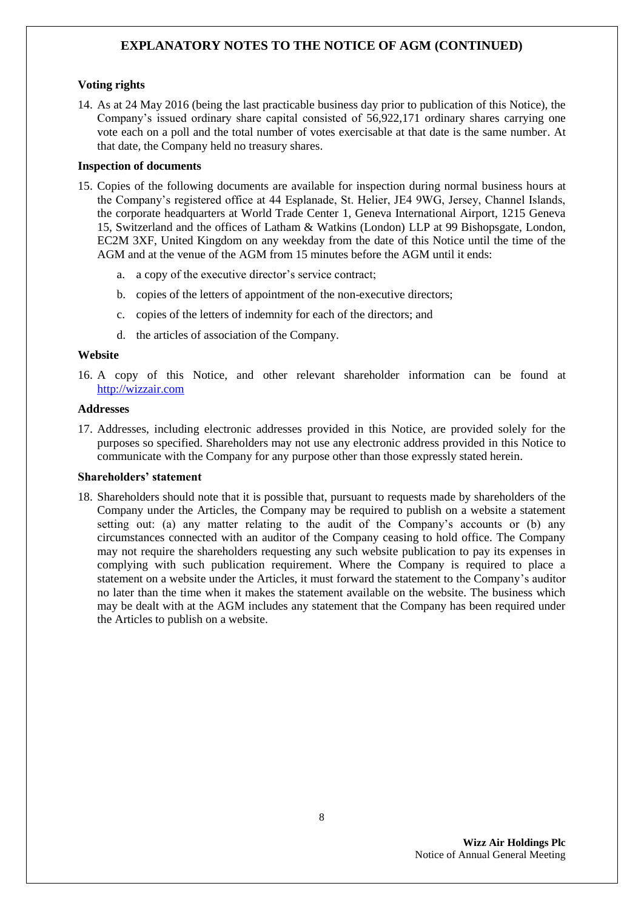## **EXPLANATORY NOTES TO THE NOTICE OF AGM (CONTINUED)**

## **Voting rights**

14. As at 24 May 2016 (being the last practicable business day prior to publication of this Notice), the Company's issued ordinary share capital consisted of 56,922,171 ordinary shares carrying one vote each on a poll and the total number of votes exercisable at that date is the same number. At that date, the Company held no treasury shares.

## **Inspection of documents**

- 15. Copies of the following documents are available for inspection during normal business hours at the Company's registered office at 44 Esplanade, St. Helier, JE4 9WG, Jersey, Channel Islands, the corporate headquarters at World Trade Center 1, Geneva International Airport, 1215 Geneva 15, Switzerland and the offices of Latham & Watkins (London) LLP at 99 Bishopsgate, London, EC2M 3XF, United Kingdom on any weekday from the date of this Notice until the time of the AGM and at the venue of the AGM from 15 minutes before the AGM until it ends:
	- a. a copy of the executive director's service contract;
	- b. copies of the letters of appointment of the non-executive directors;
	- c. copies of the letters of indemnity for each of the directors; and
	- d. the articles of association of the Company.

## **Website**

16. A copy of this Notice, and other relevant shareholder information can be found at [http://wizzair.com](http://wizzair.com/)

#### **Addresses**

17. Addresses, including electronic addresses provided in this Notice, are provided solely for the purposes so specified. Shareholders may not use any electronic address provided in this Notice to communicate with the Company for any purpose other than those expressly stated herein.

## **Shareholders' statement**

18. Shareholders should note that it is possible that, pursuant to requests made by shareholders of the Company under the Articles, the Company may be required to publish on a website a statement setting out: (a) any matter relating to the audit of the Company's accounts or (b) any circumstances connected with an auditor of the Company ceasing to hold office. The Company may not require the shareholders requesting any such website publication to pay its expenses in complying with such publication requirement. Where the Company is required to place a statement on a website under the Articles, it must forward the statement to the Company's auditor no later than the time when it makes the statement available on the website. The business which may be dealt with at the AGM includes any statement that the Company has been required under the Articles to publish on a website.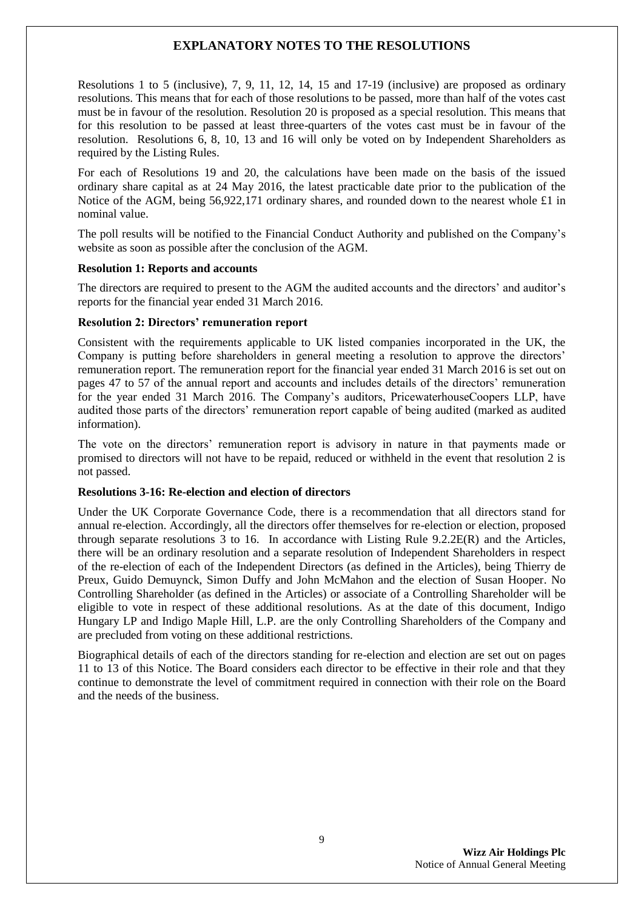## **EXPLANATORY NOTES TO THE RESOLUTIONS**

Resolutions 1 to 5 (inclusive), 7, 9, 11, 12, 14, 15 and 17-19 (inclusive) are proposed as ordinary resolutions. This means that for each of those resolutions to be passed, more than half of the votes cast must be in favour of the resolution. Resolution 20 is proposed as a special resolution. This means that for this resolution to be passed at least three-quarters of the votes cast must be in favour of the resolution. Resolutions 6, 8, 10, 13 and 16 will only be voted on by Independent Shareholders as required by the Listing Rules.

For each of Resolutions 19 and 20, the calculations have been made on the basis of the issued ordinary share capital as at 24 May 2016, the latest practicable date prior to the publication of the Notice of the AGM, being 56,922,171 ordinary shares, and rounded down to the nearest whole £1 in nominal value.

The poll results will be notified to the Financial Conduct Authority and published on the Company's website as soon as possible after the conclusion of the AGM.

## **Resolution 1: Reports and accounts**

The directors are required to present to the AGM the audited accounts and the directors' and auditor's reports for the financial year ended 31 March 2016.

## **Resolution 2: Directors' remuneration report**

Consistent with the requirements applicable to UK listed companies incorporated in the UK, the Company is putting before shareholders in general meeting a resolution to approve the directors' remuneration report. The remuneration report for the financial year ended 31 March 2016 is set out on pages 47 to 57 of the annual report and accounts and includes details of the directors' remuneration for the year ended 31 March 2016. The Company's auditors, PricewaterhouseCoopers LLP, have audited those parts of the directors' remuneration report capable of being audited (marked as audited information).

The vote on the directors' remuneration report is advisory in nature in that payments made or promised to directors will not have to be repaid, reduced or withheld in the event that resolution 2 is not passed.

## **Resolutions 3-16: Re-election and election of directors**

Under the UK Corporate Governance Code, there is a recommendation that all directors stand for annual re-election. Accordingly, all the directors offer themselves for re-election or election, proposed through separate resolutions 3 to 16. In accordance with Listing Rule 9.2.2E(R) and the Articles, there will be an ordinary resolution and a separate resolution of Independent Shareholders in respect of the re-election of each of the Independent Directors (as defined in the Articles), being Thierry de Preux, Guido Demuynck, Simon Duffy and John McMahon and the election of Susan Hooper. No Controlling Shareholder (as defined in the Articles) or associate of a Controlling Shareholder will be eligible to vote in respect of these additional resolutions. As at the date of this document, Indigo Hungary LP and Indigo Maple Hill, L.P. are the only Controlling Shareholders of the Company and are precluded from voting on these additional restrictions.

Biographical details of each of the directors standing for re-election and election are set out on pages 11 to 13 of this Notice. The Board considers each director to be effective in their role and that they continue to demonstrate the level of commitment required in connection with their role on the Board and the needs of the business.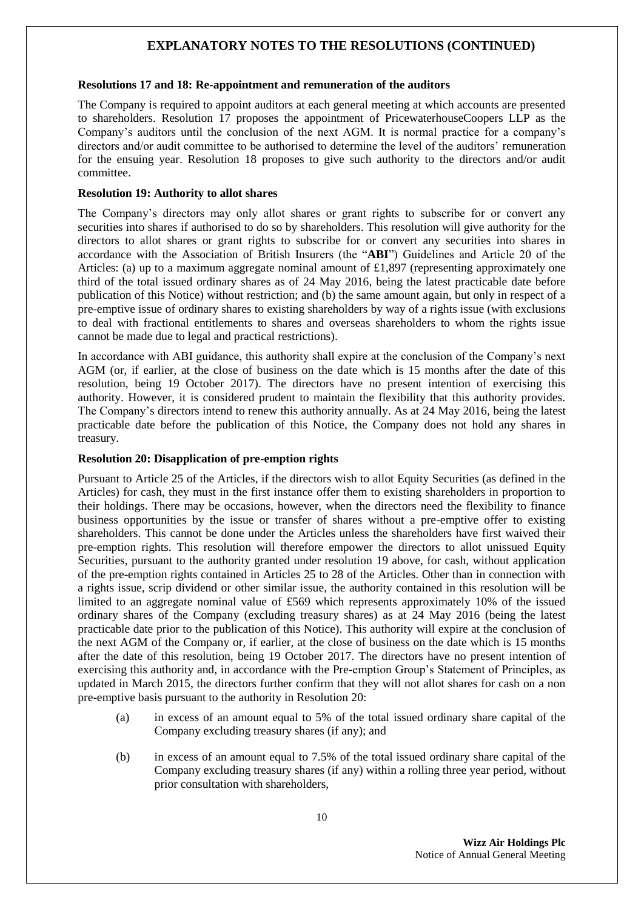## **EXPLANATORY NOTES TO THE RESOLUTIONS (CONTINUED)**

## **Resolutions 17 and 18: Re-appointment and remuneration of the auditors**

The Company is required to appoint auditors at each general meeting at which accounts are presented to shareholders. Resolution 17 proposes the appointment of PricewaterhouseCoopers LLP as the Company's auditors until the conclusion of the next AGM. It is normal practice for a company's directors and/or audit committee to be authorised to determine the level of the auditors' remuneration for the ensuing year. Resolution 18 proposes to give such authority to the directors and/or audit committee.

## **Resolution 19: Authority to allot shares**

The Company's directors may only allot shares or grant rights to subscribe for or convert any securities into shares if authorised to do so by shareholders. This resolution will give authority for the directors to allot shares or grant rights to subscribe for or convert any securities into shares in accordance with the Association of British Insurers (the "**ABI**") Guidelines and Article 20 of the Articles: (a) up to a maximum aggregate nominal amount of £1,897 (representing approximately one third of the total issued ordinary shares as of 24 May 2016, being the latest practicable date before publication of this Notice) without restriction; and (b) the same amount again, but only in respect of a pre-emptive issue of ordinary shares to existing shareholders by way of a rights issue (with exclusions to deal with fractional entitlements to shares and overseas shareholders to whom the rights issue cannot be made due to legal and practical restrictions).

In accordance with ABI guidance, this authority shall expire at the conclusion of the Company's next AGM (or, if earlier, at the close of business on the date which is 15 months after the date of this resolution, being 19 October 2017). The directors have no present intention of exercising this authority. However, it is considered prudent to maintain the flexibility that this authority provides. The Company's directors intend to renew this authority annually. As at 24 May 2016, being the latest practicable date before the publication of this Notice, the Company does not hold any shares in treasury.

## **Resolution 20: Disapplication of pre-emption rights**

Pursuant to Article 25 of the Articles, if the directors wish to allot Equity Securities (as defined in the Articles) for cash, they must in the first instance offer them to existing shareholders in proportion to their holdings. There may be occasions, however, when the directors need the flexibility to finance business opportunities by the issue or transfer of shares without a pre-emptive offer to existing shareholders. This cannot be done under the Articles unless the shareholders have first waived their pre-emption rights. This resolution will therefore empower the directors to allot unissued Equity Securities, pursuant to the authority granted under resolution 19 above, for cash, without application of the pre-emption rights contained in Articles 25 to 28 of the Articles. Other than in connection with a rights issue, scrip dividend or other similar issue, the authority contained in this resolution will be limited to an aggregate nominal value of £569 which represents approximately 10% of the issued ordinary shares of the Company (excluding treasury shares) as at 24 May 2016 (being the latest practicable date prior to the publication of this Notice). This authority will expire at the conclusion of the next AGM of the Company or, if earlier, at the close of business on the date which is 15 months after the date of this resolution, being 19 October 2017. The directors have no present intention of exercising this authority and, in accordance with the Pre-emption Group's Statement of Principles, as updated in March 2015, the directors further confirm that they will not allot shares for cash on a non pre-emptive basis pursuant to the authority in Resolution 20:

- (a) in excess of an amount equal to 5% of the total issued ordinary share capital of the Company excluding treasury shares (if any); and
- (b) in excess of an amount equal to 7.5% of the total issued ordinary share capital of the Company excluding treasury shares (if any) within a rolling three year period, without prior consultation with shareholders,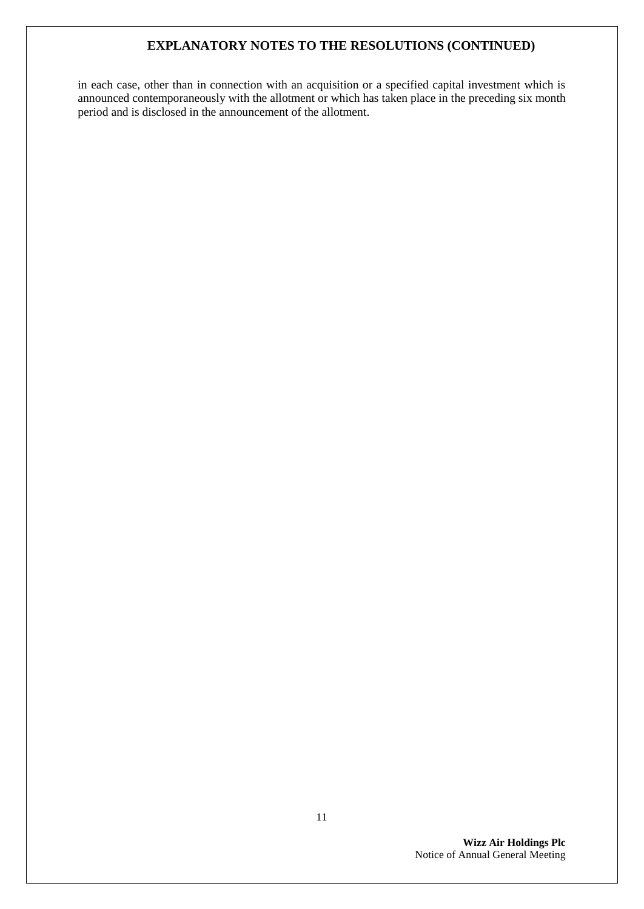## **EXPLANATORY NOTES TO THE RESOLUTIONS (CONTINUED)**

in each case, other than in connection with an acquisition or a specified capital investment which is announced contemporaneously with the allotment or which has taken place in the preceding six month period and is disclosed in the announcement of the allotment.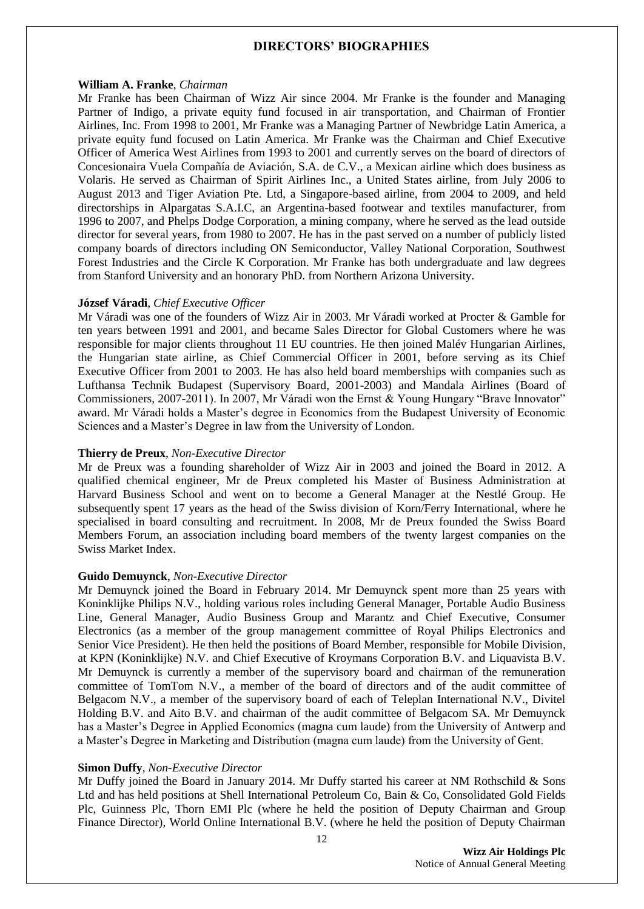## **DIRECTORS' BIOGRAPHIES**

#### **William A. Franke**, *Chairman*

Mr Franke has been Chairman of Wizz Air since 2004. Mr Franke is the founder and Managing Partner of Indigo, a private equity fund focused in air transportation, and Chairman of Frontier Airlines, Inc. From 1998 to 2001, Mr Franke was a Managing Partner of Newbridge Latin America, a private equity fund focused on Latin America. Mr Franke was the Chairman and Chief Executive Officer of America West Airlines from 1993 to 2001 and currently serves on the board of directors of Concesionaira Vuela Compañía de Aviación, S.A. de C.V., a Mexican airline which does business as Volaris. He served as Chairman of Spirit Airlines Inc., a United States airline, from July 2006 to August 2013 and Tiger Aviation Pte. Ltd, a Singapore-based airline, from 2004 to 2009, and held directorships in Alpargatas S.A.I.C, an Argentina-based footwear and textiles manufacturer, from 1996 to 2007, and Phelps Dodge Corporation, a mining company, where he served as the lead outside director for several years, from 1980 to 2007. He has in the past served on a number of publicly listed company boards of directors including ON Semiconductor, Valley National Corporation, Southwest Forest Industries and the Circle K Corporation. Mr Franke has both undergraduate and law degrees from Stanford University and an honorary PhD. from Northern Arizona University.

#### **József Váradi**, *Chief Executive Officer*

Mr Váradi was one of the founders of Wizz Air in 2003. Mr Váradi worked at Procter & Gamble for ten years between 1991 and 2001, and became Sales Director for Global Customers where he was responsible for major clients throughout 11 EU countries. He then joined Malév Hungarian Airlines, the Hungarian state airline, as Chief Commercial Officer in 2001, before serving as its Chief Executive Officer from 2001 to 2003. He has also held board memberships with companies such as Lufthansa Technik Budapest (Supervisory Board, 2001-2003) and Mandala Airlines (Board of Commissioners, 2007-2011). In 2007, Mr Váradi won the Ernst & Young Hungary "Brave Innovator" award. Mr Váradi holds a Master's degree in Economics from the Budapest University of Economic Sciences and a Master's Degree in law from the University of London.

#### **Thierry de Preux**, *Non-Executive Director*

Mr de Preux was a founding shareholder of Wizz Air in 2003 and joined the Board in 2012. A qualified chemical engineer, Mr de Preux completed his Master of Business Administration at Harvard Business School and went on to become a General Manager at the Nestlé Group. He subsequently spent 17 years as the head of the Swiss division of Korn/Ferry International, where he specialised in board consulting and recruitment. In 2008, Mr de Preux founded the Swiss Board Members Forum, an association including board members of the twenty largest companies on the Swiss Market Index.

#### **Guido Demuynck**, *Non-Executive Director*

Mr Demuynck joined the Board in February 2014. Mr Demuynck spent more than 25 years with Koninklijke Philips N.V., holding various roles including General Manager, Portable Audio Business Line, General Manager, Audio Business Group and Marantz and Chief Executive, Consumer Electronics (as a member of the group management committee of Royal Philips Electronics and Senior Vice President). He then held the positions of Board Member, responsible for Mobile Division, at KPN (Koninklijke) N.V. and Chief Executive of Kroymans Corporation B.V. and Liquavista B.V. Mr Demuynck is currently a member of the supervisory board and chairman of the remuneration committee of TomTom N.V., a member of the board of directors and of the audit committee of Belgacom N.V., a member of the supervisory board of each of Teleplan International N.V., Divitel Holding B.V. and Aito B.V. and chairman of the audit committee of Belgacom SA. Mr Demuynck has a Master's Degree in Applied Economics (magna cum laude) from the University of Antwerp and a Master's Degree in Marketing and Distribution (magna cum laude) from the University of Gent.

## **Simon Duffy**, *Non-Executive Director*

Mr Duffy joined the Board in January 2014. Mr Duffy started his career at NM Rothschild & Sons Ltd and has held positions at Shell International Petroleum Co, Bain & Co, Consolidated Gold Fields Plc, Guinness Plc, Thorn EMI Plc (where he held the position of Deputy Chairman and Group Finance Director), World Online International B.V. (where he held the position of Deputy Chairman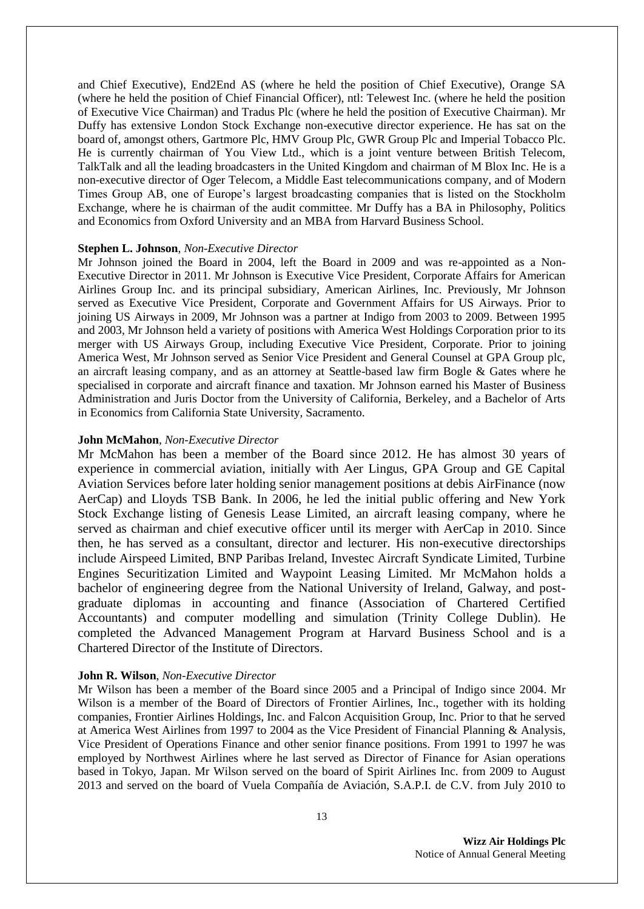and Chief Executive), End2End AS (where he held the position of Chief Executive), Orange SA (where he held the position of Chief Financial Officer), ntl: Telewest Inc. (where he held the position of Executive Vice Chairman) and Tradus Plc (where he held the position of Executive Chairman). Mr Duffy has extensive London Stock Exchange non-executive director experience. He has sat on the board of, amongst others, Gartmore Plc, HMV Group Plc, GWR Group Plc and Imperial Tobacco Plc. He is currently chairman of You View Ltd., which is a joint venture between British Telecom, TalkTalk and all the leading broadcasters in the United Kingdom and chairman of M Blox Inc. He is a non-executive director of Oger Telecom, a Middle East telecommunications company, and of Modern Times Group AB, one of Europe's largest broadcasting companies that is listed on the Stockholm Exchange, where he is chairman of the audit committee. Mr Duffy has a BA in Philosophy, Politics and Economics from Oxford University and an MBA from Harvard Business School.

#### **Stephen L. Johnson**, *Non-Executive Director*

Mr Johnson joined the Board in 2004, left the Board in 2009 and was re-appointed as a Non-Executive Director in 2011. Mr Johnson is Executive Vice President, Corporate Affairs for American Airlines Group Inc. and its principal subsidiary, American Airlines, Inc. Previously, Mr Johnson served as Executive Vice President, Corporate and Government Affairs for US Airways. Prior to joining US Airways in 2009, Mr Johnson was a partner at Indigo from 2003 to 2009. Between 1995 and 2003, Mr Johnson held a variety of positions with America West Holdings Corporation prior to its merger with US Airways Group, including Executive Vice President, Corporate. Prior to joining America West, Mr Johnson served as Senior Vice President and General Counsel at GPA Group plc, an aircraft leasing company, and as an attorney at Seattle-based law firm Bogle & Gates where he specialised in corporate and aircraft finance and taxation. Mr Johnson earned his Master of Business Administration and Juris Doctor from the University of California, Berkeley, and a Bachelor of Arts in Economics from California State University, Sacramento.

#### **John McMahon***, Non-Executive Director*

Mr McMahon has been a member of the Board since 2012. He has almost 30 years of experience in commercial aviation, initially with Aer Lingus, GPA Group and GE Capital Aviation Services before later holding senior management positions at debis AirFinance (now AerCap) and Lloyds TSB Bank. In 2006, he led the initial public offering and New York Stock Exchange listing of Genesis Lease Limited, an aircraft leasing company, where he served as chairman and chief executive officer until its merger with AerCap in 2010. Since then, he has served as a consultant, director and lecturer. His non-executive directorships include Airspeed Limited, BNP Paribas Ireland, Investec Aircraft Syndicate Limited, Turbine Engines Securitization Limited and Waypoint Leasing Limited. Mr McMahon holds a bachelor of engineering degree from the National University of Ireland, Galway, and postgraduate diplomas in accounting and finance (Association of Chartered Certified Accountants) and computer modelling and simulation (Trinity College Dublin). He completed the Advanced Management Program at Harvard Business School and is a Chartered Director of the Institute of Directors.

#### **John R. Wilson**, *Non-Executive Director*

Mr Wilson has been a member of the Board since 2005 and a Principal of Indigo since 2004. Mr Wilson is a member of the Board of Directors of Frontier Airlines, Inc., together with its holding companies, Frontier Airlines Holdings, Inc. and Falcon Acquisition Group, Inc. Prior to that he served at America West Airlines from 1997 to 2004 as the Vice President of Financial Planning & Analysis, Vice President of Operations Finance and other senior finance positions. From 1991 to 1997 he was employed by Northwest Airlines where he last served as Director of Finance for Asian operations based in Tokyo, Japan. Mr Wilson served on the board of Spirit Airlines Inc. from 2009 to August 2013 and served on the board of Vuela Compañía de Aviación, S.A.P.I. de C.V. from July 2010 to